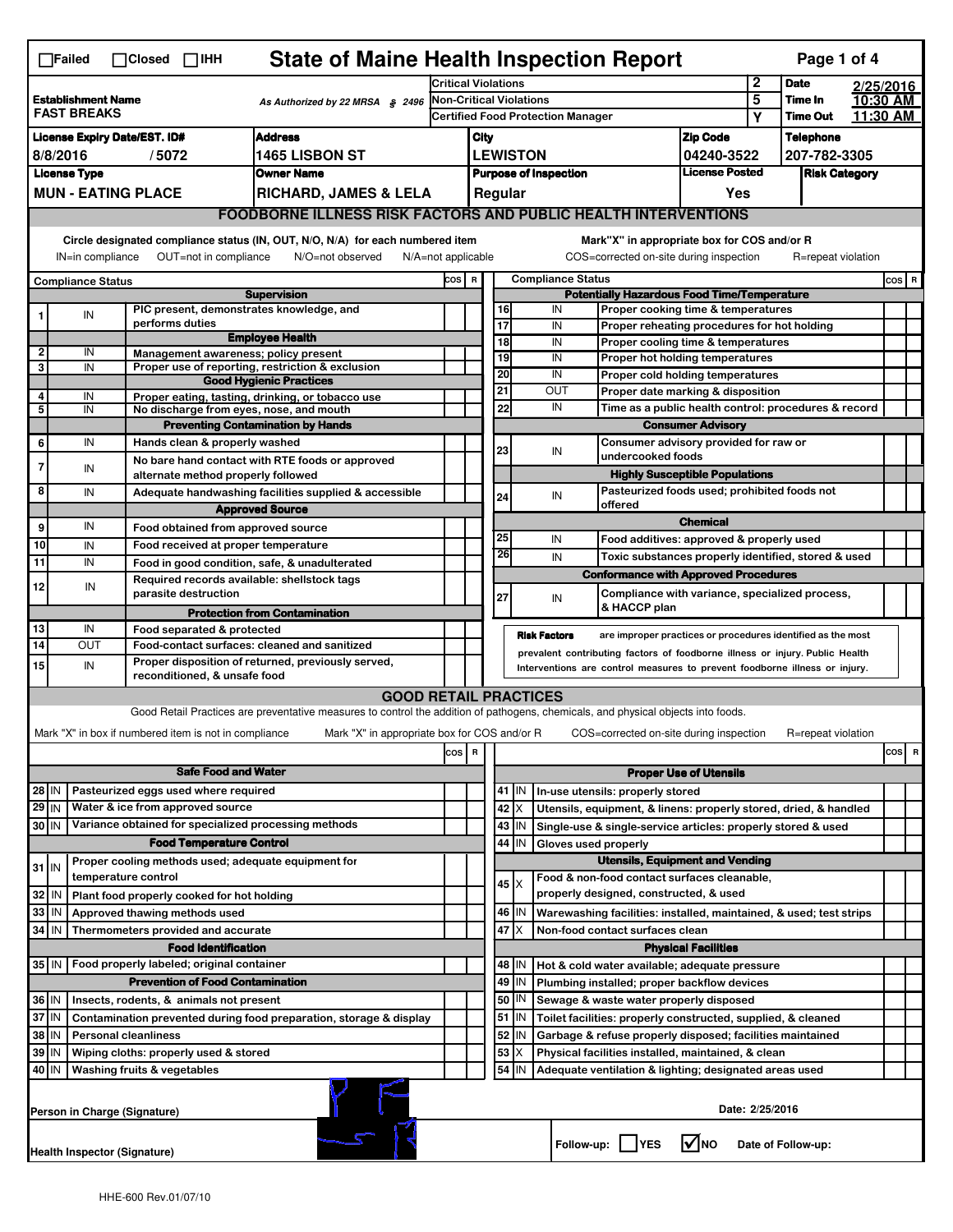| <b>State of Maine Health Inspection Report</b><br>Page 1 of 4<br>$\Box$ Failed<br>$\Box$ Closed $\Box$ IHH                                               |                                                                                                                                                                                                                        |                     |                                                                             |                                                                                                                                                                   |                 |                                   |                                             |                                                                                                                                   |                                                              |                                                                  |                                                                                          |                               |                      |                      |         |           |
|----------------------------------------------------------------------------------------------------------------------------------------------------------|------------------------------------------------------------------------------------------------------------------------------------------------------------------------------------------------------------------------|---------------------|-----------------------------------------------------------------------------|-------------------------------------------------------------------------------------------------------------------------------------------------------------------|-----------------|-----------------------------------|---------------------------------------------|-----------------------------------------------------------------------------------------------------------------------------------|--------------------------------------------------------------|------------------------------------------------------------------|------------------------------------------------------------------------------------------|-------------------------------|----------------------|----------------------|---------|-----------|
|                                                                                                                                                          |                                                                                                                                                                                                                        |                     | <b>Critical Violations</b>                                                  |                                                                                                                                                                   |                 |                                   |                                             |                                                                                                                                   |                                                              |                                                                  | $\mathbf 2$                                                                              | <b>Date</b>                   |                      | 2/25/2016            |         |           |
| <b>Establishment Name</b><br>As Authorized by 22 MRSA § 2496<br><b>FAST BREAKS</b>                                                                       |                                                                                                                                                                                                                        |                     | <b>Non-Critical Violations</b><br><b>Certified Food Protection Manager</b>  |                                                                                                                                                                   |                 |                                   |                                             |                                                                                                                                   |                                                              | 5<br>Υ                                                           | Time In<br><b>Time Out</b>                                                               |                               | 10:30 AM<br>11:30 AM |                      |         |           |
| <b>License Expiry Date/EST. ID#</b><br><b>Address</b>                                                                                                    |                                                                                                                                                                                                                        |                     |                                                                             |                                                                                                                                                                   | City            |                                   |                                             |                                                                                                                                   |                                                              |                                                                  |                                                                                          |                               |                      | <b>Telephone</b>     |         |           |
| 8/8/2016<br><b>1465 LISBON ST</b><br>/5072                                                                                                               |                                                                                                                                                                                                                        |                     |                                                                             |                                                                                                                                                                   | <b>LEWISTON</b> |                                   |                                             |                                                                                                                                   | <b>Zip Code</b>                                              |                                                                  |                                                                                          |                               | 207-782-3305         |                      |         |           |
| <b>License Type</b><br><b>Owner Name</b>                                                                                                                 |                                                                                                                                                                                                                        |                     |                                                                             |                                                                                                                                                                   |                 |                                   | <b>Purpose of Inspection</b>                |                                                                                                                                   |                                                              |                                                                  | 04240-3522<br><b>License Posted</b>                                                      |                               |                      | <b>Risk Category</b> |         |           |
| <b>MUN - EATING PLACE</b><br><b>RICHARD, JAMES &amp; LELA</b>                                                                                            |                                                                                                                                                                                                                        |                     |                                                                             |                                                                                                                                                                   |                 | Regular<br>Yes                    |                                             |                                                                                                                                   |                                                              |                                                                  |                                                                                          |                               |                      |                      |         |           |
|                                                                                                                                                          | <b>FOODBORNE ILLNESS RISK FACTORS AND PUBLIC HEALTH INTERVENTIONS</b>                                                                                                                                                  |                     |                                                                             |                                                                                                                                                                   |                 |                                   |                                             |                                                                                                                                   |                                                              |                                                                  |                                                                                          |                               |                      |                      |         |           |
|                                                                                                                                                          | Circle designated compliance status (IN, OUT, N/O, N/A) for each numbered item<br>Mark"X" in appropriate box for COS and/or R                                                                                          |                     |                                                                             |                                                                                                                                                                   |                 |                                   |                                             |                                                                                                                                   |                                                              |                                                                  |                                                                                          |                               |                      |                      |         |           |
| OUT=not in compliance<br>COS=corrected on-site during inspection<br>IN=in compliance<br>N/O=not observed<br>$N/A = not$ applicable<br>R=repeat violation |                                                                                                                                                                                                                        |                     |                                                                             |                                                                                                                                                                   |                 |                                   |                                             |                                                                                                                                   |                                                              |                                                                  |                                                                                          |                               |                      |                      |         |           |
| <b>Compliance Status</b>                                                                                                                                 |                                                                                                                                                                                                                        |                     |                                                                             |                                                                                                                                                                   |                 | COS R<br><b>Compliance Status</b> |                                             |                                                                                                                                   |                                                              |                                                                  |                                                                                          |                               |                      |                      | $cos$ R |           |
|                                                                                                                                                          |                                                                                                                                                                                                                        |                     |                                                                             | <b>Supervision</b><br>PIC present, demonstrates knowledge, and                                                                                                    |                 |                                   |                                             | 16                                                                                                                                |                                                              | IN                                                               | <b>Potentially Hazardous Food Time/Temperature</b><br>Proper cooking time & temperatures |                               |                      |                      |         |           |
|                                                                                                                                                          | IN                                                                                                                                                                                                                     |                     | performs duties                                                             |                                                                                                                                                                   |                 |                                   |                                             | 17                                                                                                                                |                                                              | IN                                                               | Proper reheating procedures for hot holding                                              |                               |                      |                      |         |           |
| $\mathbf{2}$                                                                                                                                             | IN                                                                                                                                                                                                                     |                     |                                                                             | <b>Employee Health</b>                                                                                                                                            |                 |                                   |                                             | 18                                                                                                                                |                                                              | IN                                                               | Proper cooling time & temperatures                                                       |                               |                      |                      |         |           |
| 3                                                                                                                                                        | IN                                                                                                                                                                                                                     |                     |                                                                             | Management awareness; policy present<br>Proper use of reporting, restriction & exclusion                                                                          |                 |                                   |                                             | 19                                                                                                                                |                                                              | IN                                                               | <b>Proper hot holding temperatures</b>                                                   |                               |                      |                      |         |           |
|                                                                                                                                                          |                                                                                                                                                                                                                        |                     |                                                                             | <b>Good Hygienic Practices</b>                                                                                                                                    |                 |                                   |                                             | 20<br>21                                                                                                                          |                                                              | IN<br>OUT                                                        | Proper cold holding temperatures<br>Proper date marking & disposition                    |                               |                      |                      |         |           |
| 4<br>5                                                                                                                                                   | IN<br>IN                                                                                                                                                                                                               |                     |                                                                             | Proper eating, tasting, drinking, or tobacco use<br>No discharge from eyes, nose, and mouth                                                                       |                 |                                   |                                             | 22                                                                                                                                |                                                              | IN                                                               |                                                                                          |                               |                      |                      |         |           |
|                                                                                                                                                          |                                                                                                                                                                                                                        |                     |                                                                             | <b>Preventing Contamination by Hands</b>                                                                                                                          |                 |                                   |                                             |                                                                                                                                   |                                                              |                                                                  | Time as a public health control: procedures & record<br><b>Consumer Advisory</b>         |                               |                      |                      |         |           |
| 6                                                                                                                                                        | IN                                                                                                                                                                                                                     |                     | Hands clean & properly washed                                               |                                                                                                                                                                   |                 |                                   |                                             | 23                                                                                                                                |                                                              | IN                                                               | Consumer advisory provided for raw or                                                    |                               |                      |                      |         |           |
| 7                                                                                                                                                        | IN                                                                                                                                                                                                                     |                     |                                                                             | No bare hand contact with RTE foods or approved                                                                                                                   |                 |                                   |                                             |                                                                                                                                   |                                                              |                                                                  | undercooked foods                                                                        |                               |                      |                      |         |           |
| 8                                                                                                                                                        |                                                                                                                                                                                                                        |                     | alternate method properly followed                                          |                                                                                                                                                                   |                 |                                   |                                             |                                                                                                                                   |                                                              |                                                                  | <b>Highly Susceptible Populations</b><br>Pasteurized foods used; prohibited foods not    |                               |                      |                      |         |           |
|                                                                                                                                                          | IN                                                                                                                                                                                                                     |                     |                                                                             | Adequate handwashing facilities supplied & accessible<br><b>Approved Source</b>                                                                                   |                 |                                   |                                             | 24                                                                                                                                |                                                              | IN                                                               | offered                                                                                  |                               |                      |                      |         |           |
| 9                                                                                                                                                        | IN                                                                                                                                                                                                                     |                     | Food obtained from approved source                                          |                                                                                                                                                                   |                 |                                   |                                             |                                                                                                                                   |                                                              |                                                                  |                                                                                          | <b>Chemical</b>               |                      |                      |         |           |
| 10                                                                                                                                                       | IN                                                                                                                                                                                                                     |                     | Food received at proper temperature                                         |                                                                                                                                                                   |                 |                                   |                                             | 25                                                                                                                                |                                                              | IN                                                               | Food additives: approved & properly used                                                 |                               |                      |                      |         |           |
| 11                                                                                                                                                       | IN                                                                                                                                                                                                                     |                     |                                                                             | Food in good condition, safe, & unadulterated                                                                                                                     |                 |                                   |                                             | 26                                                                                                                                |                                                              | IN                                                               | Toxic substances properly identified, stored & used                                      |                               |                      |                      |         |           |
| 12                                                                                                                                                       | IN                                                                                                                                                                                                                     |                     |                                                                             | Required records available: shellstock tags                                                                                                                       |                 |                                   |                                             |                                                                                                                                   |                                                              |                                                                  | <b>Conformance with Approved Procedures</b>                                              |                               |                      |                      |         |           |
|                                                                                                                                                          |                                                                                                                                                                                                                        |                     | parasite destruction                                                        |                                                                                                                                                                   |                 |                                   |                                             | 27                                                                                                                                |                                                              | IN                                                               | Compliance with variance, specialized process,<br>& HACCP plan                           |                               |                      |                      |         |           |
| 13                                                                                                                                                       | IN                                                                                                                                                                                                                     |                     | Food separated & protected                                                  | <b>Protection from Contamination</b>                                                                                                                              |                 |                                   |                                             |                                                                                                                                   |                                                              |                                                                  |                                                                                          |                               |                      |                      |         |           |
| 14                                                                                                                                                       | OUT                                                                                                                                                                                                                    |                     |                                                                             | Food-contact surfaces: cleaned and sanitized                                                                                                                      |                 |                                   |                                             |                                                                                                                                   | <b>Risk Factors</b>                                          |                                                                  | are improper practices or procedures identified as the most                              |                               |                      |                      |         |           |
| 15                                                                                                                                                       | prevalent contributing factors of foodborne illness or injury. Public Health<br>Proper disposition of returned, previously served,<br>IN<br>Interventions are control measures to prevent foodborne illness or injury. |                     |                                                                             |                                                                                                                                                                   |                 |                                   |                                             |                                                                                                                                   |                                                              |                                                                  |                                                                                          |                               |                      |                      |         |           |
|                                                                                                                                                          |                                                                                                                                                                                                                        |                     | reconditioned, & unsafe food                                                |                                                                                                                                                                   |                 |                                   |                                             |                                                                                                                                   |                                                              |                                                                  |                                                                                          |                               |                      |                      |         |           |
|                                                                                                                                                          |                                                                                                                                                                                                                        |                     |                                                                             | <b>GOOD RETAIL PRACTICES</b><br>Good Retail Practices are preventative measures to control the addition of pathogens, chemicals, and physical objects into foods. |                 |                                   |                                             |                                                                                                                                   |                                                              |                                                                  |                                                                                          |                               |                      |                      |         |           |
|                                                                                                                                                          |                                                                                                                                                                                                                        |                     | Mark "X" in box if numbered item is not in compliance                       | Mark "X" in appropriate box for COS and/or R                                                                                                                      |                 |                                   |                                             |                                                                                                                                   |                                                              |                                                                  | COS=corrected on-site during inspection                                                  |                               |                      | R=repeat violation   |         |           |
|                                                                                                                                                          |                                                                                                                                                                                                                        |                     |                                                                             |                                                                                                                                                                   | COS R           |                                   |                                             |                                                                                                                                   |                                                              |                                                                  |                                                                                          |                               |                      |                      |         | cosl<br>R |
|                                                                                                                                                          |                                                                                                                                                                                                                        |                     | <b>Safe Food and Water</b>                                                  |                                                                                                                                                                   |                 |                                   |                                             |                                                                                                                                   |                                                              |                                                                  |                                                                                          | <b>Proper Use of Utensils</b> |                      |                      |         |           |
| $28$ IN<br>Pasteurized eggs used where required                                                                                                          |                                                                                                                                                                                                                        |                     |                                                                             |                                                                                                                                                                   |                 |                                   | 41   IN<br>In-use utensils: properly stored |                                                                                                                                   |                                                              |                                                                  |                                                                                          |                               |                      |                      |         |           |
| $29$ IN<br>Water & ice from approved source                                                                                                              |                                                                                                                                                                                                                        |                     |                                                                             |                                                                                                                                                                   |                 |                                   | 42<br>IX.                                   |                                                                                                                                   |                                                              | Utensils, equipment, & linens: properly stored, dried, & handled |                                                                                          |                               |                      |                      |         |           |
| Variance obtained for specialized processing methods<br>30 IN                                                                                            |                                                                                                                                                                                                                        |                     |                                                                             |                                                                                                                                                                   |                 | 43<br>IN                          |                                             |                                                                                                                                   | Single-use & single-service articles: properly stored & used |                                                                  |                                                                                          |                               |                      |                      |         |           |
| <b>Food Temperature Control</b>                                                                                                                          |                                                                                                                                                                                                                        |                     |                                                                             |                                                                                                                                                                   |                 |                                   | 44<br>IN<br>Gloves used properly            |                                                                                                                                   |                                                              |                                                                  |                                                                                          |                               |                      |                      |         |           |
| $31$ IN                                                                                                                                                  |                                                                                                                                                                                                                        |                     |                                                                             | Proper cooling methods used; adequate equipment for                                                                                                               |                 |                                   |                                             |                                                                                                                                   |                                                              |                                                                  | <b>Utensils, Equipment and Vending</b>                                                   |                               |                      |                      |         |           |
| 32                                                                                                                                                       |                                                                                                                                                                                                                        | temperature control |                                                                             |                                                                                                                                                                   |                 |                                   |                                             | 45   X                                                                                                                            |                                                              |                                                                  | Food & non-food contact surfaces cleanable,<br>properly designed, constructed, & used    |                               |                      |                      |         |           |
| 33                                                                                                                                                       | IN<br>IN                                                                                                                                                                                                               |                     | Plant food properly cooked for hot holding<br>Approved thawing methods used |                                                                                                                                                                   |                 |                                   |                                             | 46<br>IN                                                                                                                          |                                                              |                                                                  | Warewashing facilities: installed, maintained, & used; test strips                       |                               |                      |                      |         |           |
| 34 IN                                                                                                                                                    |                                                                                                                                                                                                                        |                     | Thermometers provided and accurate                                          |                                                                                                                                                                   |                 |                                   |                                             | 47                                                                                                                                |                                                              |                                                                  | Non-food contact surfaces clean                                                          |                               |                      |                      |         |           |
|                                                                                                                                                          |                                                                                                                                                                                                                        |                     | <b>Food Identification</b>                                                  |                                                                                                                                                                   |                 |                                   |                                             |                                                                                                                                   |                                                              |                                                                  |                                                                                          | <b>Physical Facilities</b>    |                      |                      |         |           |
|                                                                                                                                                          | Food properly labeled; original container<br>35 IN<br>48   IN<br>Hot & cold water available; adequate pressure                                                                                                         |                     |                                                                             |                                                                                                                                                                   |                 |                                   |                                             |                                                                                                                                   |                                                              |                                                                  |                                                                                          |                               |                      |                      |         |           |
| <b>Prevention of Food Contamination</b>                                                                                                                  |                                                                                                                                                                                                                        |                     |                                                                             |                                                                                                                                                                   |                 |                                   | 49                                          | IN                                                                                                                                |                                                              | Plumbing installed; proper backflow devices                      |                                                                                          |                               |                      |                      |         |           |
| 36 IN<br>Insects, rodents, & animals not present                                                                                                         |                                                                                                                                                                                                                        |                     |                                                                             |                                                                                                                                                                   |                 |                                   |                                             | 50   IN                                                                                                                           |                                                              |                                                                  | Sewage & waste water properly disposed                                                   |                               |                      |                      |         |           |
| 37 IN<br>Contamination prevented during food preparation, storage & display                                                                              |                                                                                                                                                                                                                        |                     |                                                                             |                                                                                                                                                                   |                 |                                   |                                             | $51$ M                                                                                                                            |                                                              |                                                                  | Toilet facilities: properly constructed, supplied, & cleaned                             |                               |                      |                      |         |           |
| 38 IN<br><b>Personal cleanliness</b><br>39 IN<br>Wiping cloths: properly used & stored                                                                   |                                                                                                                                                                                                                        |                     |                                                                             |                                                                                                                                                                   |                 |                                   |                                             | 52<br>IN<br>Garbage & refuse properly disposed; facilities maintained<br>53<br>Physical facilities installed, maintained, & clean |                                                              |                                                                  |                                                                                          |                               |                      |                      |         |           |
| 40 IN<br>Washing fruits & vegetables                                                                                                                     |                                                                                                                                                                                                                        |                     |                                                                             |                                                                                                                                                                   |                 |                                   |                                             | 54<br>IN                                                                                                                          |                                                              |                                                                  | Adequate ventilation & lighting; designated areas used                                   |                               |                      |                      |         |           |
|                                                                                                                                                          |                                                                                                                                                                                                                        |                     |                                                                             |                                                                                                                                                                   |                 |                                   |                                             |                                                                                                                                   |                                                              |                                                                  |                                                                                          |                               |                      |                      |         |           |
|                                                                                                                                                          | Person in Charge (Signature)                                                                                                                                                                                           |                     |                                                                             |                                                                                                                                                                   |                 |                                   |                                             |                                                                                                                                   |                                                              |                                                                  |                                                                                          |                               | Date: 2/25/2016      |                      |         |           |
|                                                                                                                                                          | Health Inspector (Signature)                                                                                                                                                                                           |                     |                                                                             |                                                                                                                                                                   |                 |                                   |                                             |                                                                                                                                   |                                                              |                                                                  | Follow-up:     YES                                                                       | l√lno                         |                      | Date of Follow-up:   |         |           |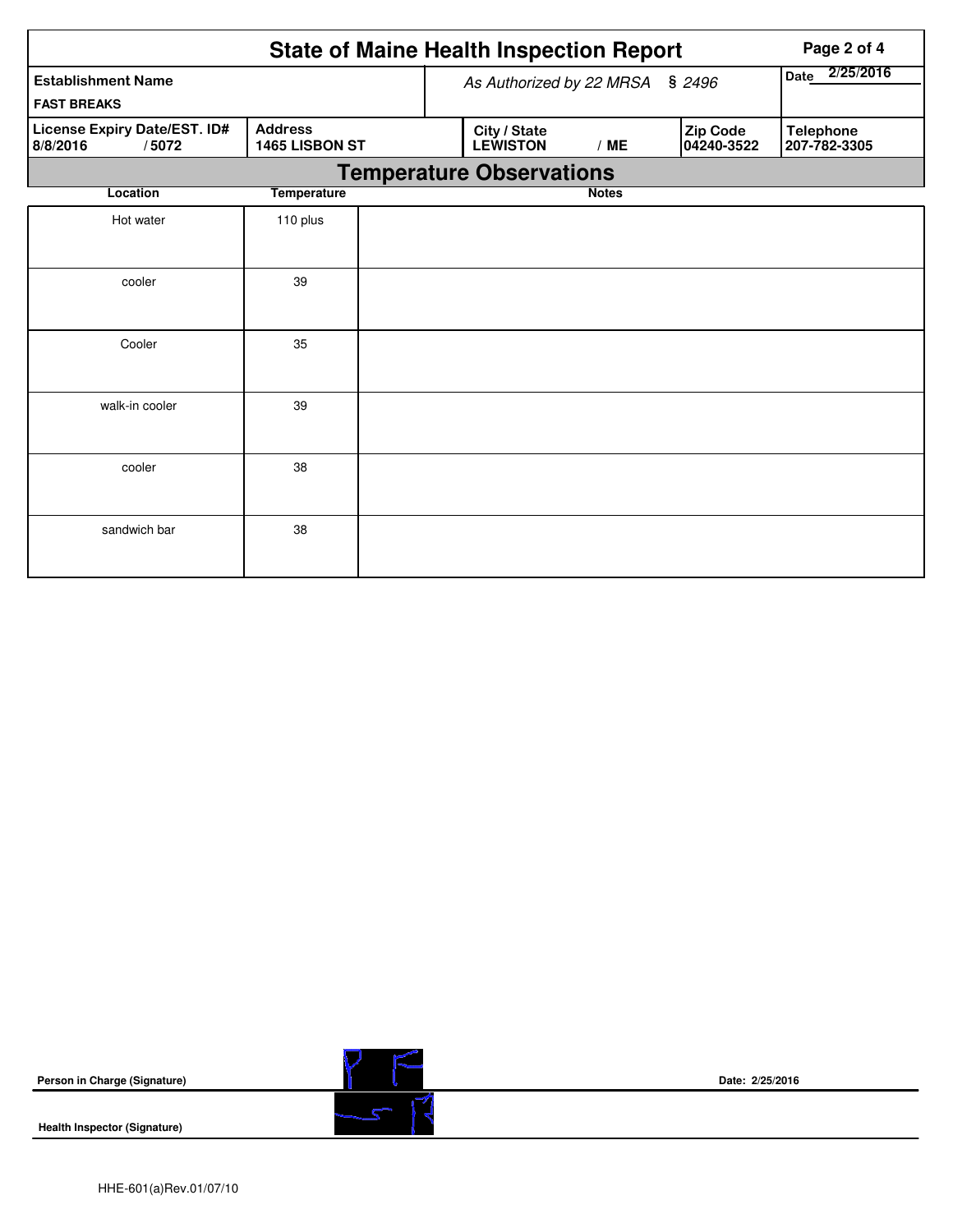|                                                   | Page 2 of 4<br>2/25/2016        |              |                                 |                                  |  |  |  |  |  |  |  |
|---------------------------------------------------|---------------------------------|--------------|---------------------------------|----------------------------------|--|--|--|--|--|--|--|
| <b>Establishment Name</b><br><b>FAST BREAKS</b>   |                                 |              | As Authorized by 22 MRSA § 2496 |                                  |  |  |  |  |  |  |  |
| License Expiry Date/EST. ID#<br>8/8/2016<br>/5072 | City / State<br><b>LEWISTON</b> | /ME          | Zip Code<br>04240-3522          | <b>Telephone</b><br>207-782-3305 |  |  |  |  |  |  |  |
|                                                   | <b>Temperature</b>              |              | <b>Temperature Observations</b> |                                  |  |  |  |  |  |  |  |
| Location                                          |                                 | <b>Notes</b> |                                 |                                  |  |  |  |  |  |  |  |
| Hot water                                         | 110 plus                        |              |                                 |                                  |  |  |  |  |  |  |  |
| cooler                                            | 39                              |              |                                 |                                  |  |  |  |  |  |  |  |
| Cooler                                            | 35                              |              |                                 |                                  |  |  |  |  |  |  |  |
| walk-in cooler                                    | 39                              |              |                                 |                                  |  |  |  |  |  |  |  |
| cooler                                            | 38                              |              |                                 |                                  |  |  |  |  |  |  |  |
| sandwich bar                                      | 38                              |              |                                 |                                  |  |  |  |  |  |  |  |

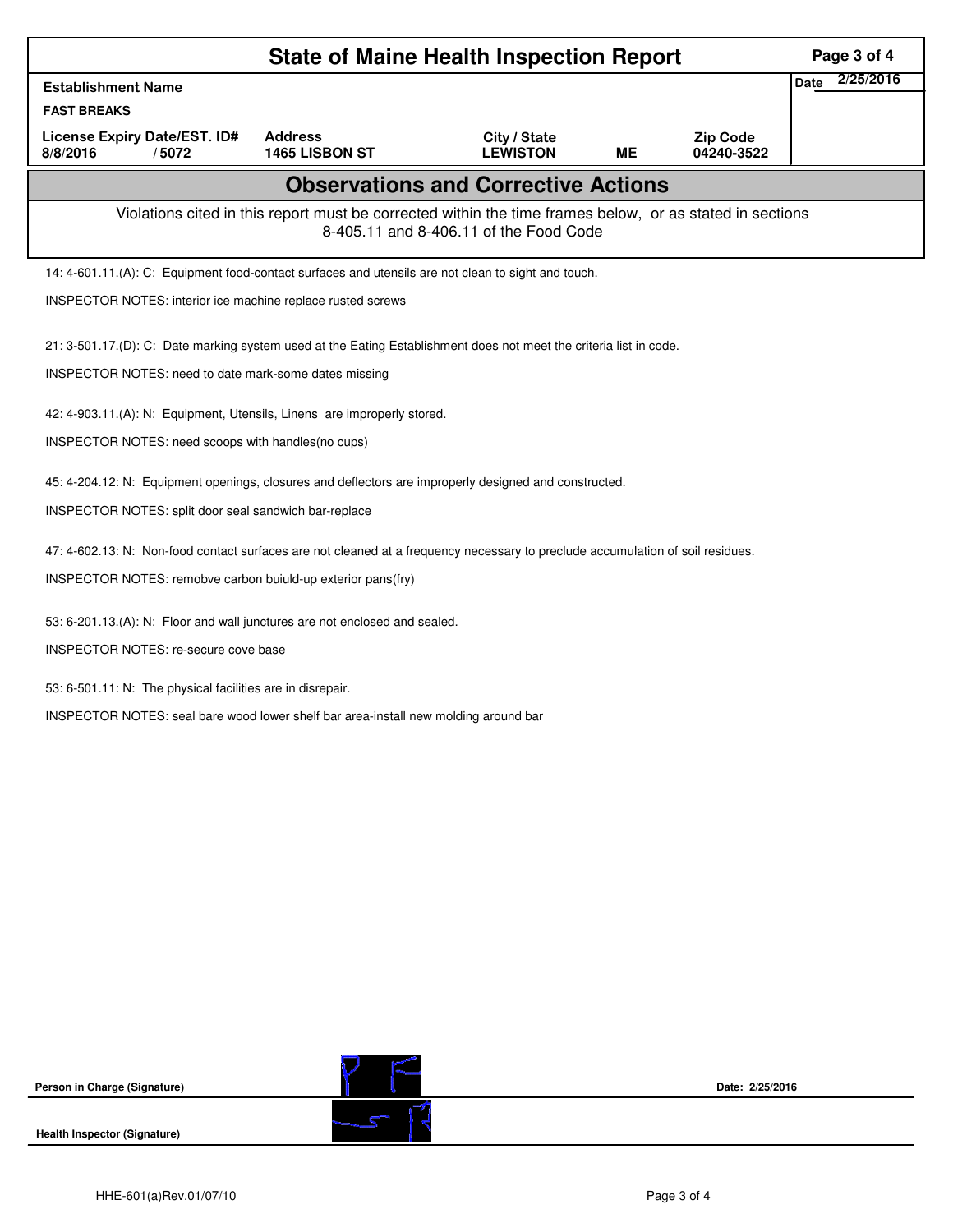|                                                                                                                                                                                                                                                                                                                                                                                                                                                                                                                                                                                                                  | Page 3 of 4                      |                                 |           |                               |                          |  |  |  |  |
|------------------------------------------------------------------------------------------------------------------------------------------------------------------------------------------------------------------------------------------------------------------------------------------------------------------------------------------------------------------------------------------------------------------------------------------------------------------------------------------------------------------------------------------------------------------------------------------------------------------|----------------------------------|---------------------------------|-----------|-------------------------------|--------------------------|--|--|--|--|
| <b>Establishment Name</b>                                                                                                                                                                                                                                                                                                                                                                                                                                                                                                                                                                                        |                                  |                                 |           |                               | 2/25/2016<br><b>Date</b> |  |  |  |  |
| <b>FAST BREAKS</b>                                                                                                                                                                                                                                                                                                                                                                                                                                                                                                                                                                                               |                                  |                                 |           |                               |                          |  |  |  |  |
| License Expiry Date/EST. ID#<br>8/8/2016<br>/5072                                                                                                                                                                                                                                                                                                                                                                                                                                                                                                                                                                | <b>Address</b><br>1465 LISBON ST | City / State<br><b>LEWISTON</b> | <b>ME</b> | <b>Zip Code</b><br>04240-3522 |                          |  |  |  |  |
| <b>Observations and Corrective Actions</b>                                                                                                                                                                                                                                                                                                                                                                                                                                                                                                                                                                       |                                  |                                 |           |                               |                          |  |  |  |  |
| Violations cited in this report must be corrected within the time frames below, or as stated in sections                                                                                                                                                                                                                                                                                                                                                                                                                                                                                                         |                                  |                                 |           |                               |                          |  |  |  |  |
| 14: 4-601.11.(A): C: Equipment food-contact surfaces and utensils are not clean to sight and touch.                                                                                                                                                                                                                                                                                                                                                                                                                                                                                                              |                                  |                                 |           |                               |                          |  |  |  |  |
| <b>INSPECTOR NOTES: interior ice machine replace rusted screws</b>                                                                                                                                                                                                                                                                                                                                                                                                                                                                                                                                               |                                  |                                 |           |                               |                          |  |  |  |  |
| 21: 3-501.17.(D): C: Date marking system used at the Eating Establishment does not meet the criteria list in code.<br>INSPECTOR NOTES: need to date mark-some dates missing<br>42: 4-903.11.(A): N: Equipment, Utensils, Linens are improperly stored.<br>INSPECTOR NOTES: need scoops with handles(no cups)<br>45: 4-204.12: N: Equipment openings, closures and deflectors are improperly designed and constructed.<br>INSPECTOR NOTES: split door seal sandwich bar-replace<br>47: 4-602.13: N: Non-food contact surfaces are not cleaned at a frequency necessary to preclude accumulation of soil residues. |                                  |                                 |           |                               |                          |  |  |  |  |
| INSPECTOR NOTES: remobve carbon buiuld-up exterior pans(fry)                                                                                                                                                                                                                                                                                                                                                                                                                                                                                                                                                     |                                  |                                 |           |                               |                          |  |  |  |  |
| 53: 6-201.13.(A): N: Floor and wall junctures are not enclosed and sealed.                                                                                                                                                                                                                                                                                                                                                                                                                                                                                                                                       |                                  |                                 |           |                               |                          |  |  |  |  |
| <b>INSPECTOR NOTES: re-secure cove base</b>                                                                                                                                                                                                                                                                                                                                                                                                                                                                                                                                                                      |                                  |                                 |           |                               |                          |  |  |  |  |
| 53: 6-501.11: N: The physical facilities are in disrepair.                                                                                                                                                                                                                                                                                                                                                                                                                                                                                                                                                       |                                  |                                 |           |                               |                          |  |  |  |  |
| INSPECTOR NOTES: seal bare wood lower shelf bar area-install new molding around bar                                                                                                                                                                                                                                                                                                                                                                                                                                                                                                                              |                                  |                                 |           |                               |                          |  |  |  |  |
|                                                                                                                                                                                                                                                                                                                                                                                                                                                                                                                                                                                                                  |                                  |                                 |           |                               |                          |  |  |  |  |